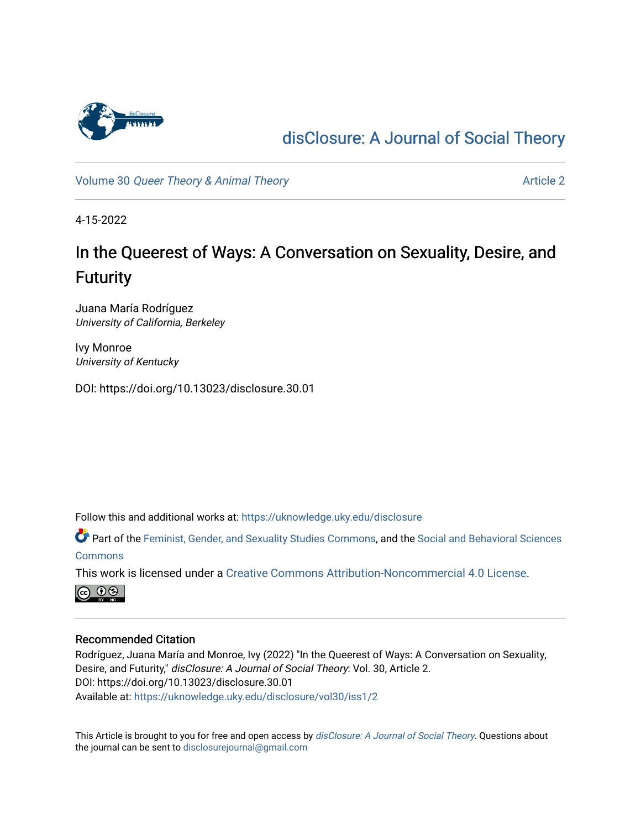

## [disClosure: A Journal of Social Theory](https://uknowledge.uky.edu/disclosure)

Volume 30 [Queer Theory & Animal Theory](https://uknowledge.uky.edu/disclosure/vol30) Article 2

4-15-2022

# In the Queerest of Ways: A Conversation on Sexuality, Desire, and **Futurity**

Juana María Rodríguez University of California, Berkeley

Ivy Monroe University of Kentucky

DOI: https://doi.org/10.13023/disclosure.30.01

Follow this and additional works at: [https://uknowledge.uky.edu/disclosure](https://uknowledge.uky.edu/disclosure?utm_source=uknowledge.uky.edu%2Fdisclosure%2Fvol30%2Fiss1%2F2&utm_medium=PDF&utm_campaign=PDFCoverPages)

Part of the [Feminist, Gender, and Sexuality Studies Commons](http://network.bepress.com/hgg/discipline/559?utm_source=uknowledge.uky.edu%2Fdisclosure%2Fvol30%2Fiss1%2F2&utm_medium=PDF&utm_campaign=PDFCoverPages), and the [Social and Behavioral Sciences](http://network.bepress.com/hgg/discipline/316?utm_source=uknowledge.uky.edu%2Fdisclosure%2Fvol30%2Fiss1%2F2&utm_medium=PDF&utm_campaign=PDFCoverPages)  **[Commons](http://network.bepress.com/hgg/discipline/316?utm_source=uknowledge.uky.edu%2Fdisclosure%2Fvol30%2Fiss1%2F2&utm_medium=PDF&utm_campaign=PDFCoverPages)** 

This work is licensed under a [Creative Commons Attribution-Noncommercial 4.0 License](https://creativecommons.org/licenses/by-nc/4.0/).



## Recommended Citation

Rodríguez, Juana María and Monroe, Ivy (2022) "In the Queerest of Ways: A Conversation on Sexuality, Desire, and Futurity," disClosure: A Journal of Social Theory: Vol. 30, Article 2. DOI: https://doi.org/10.13023/disclosure.30.01 Available at: [https://uknowledge.uky.edu/disclosure/vol30/iss1/2](https://uknowledge.uky.edu/disclosure/vol30/iss1/2?utm_source=uknowledge.uky.edu%2Fdisclosure%2Fvol30%2Fiss1%2F2&utm_medium=PDF&utm_campaign=PDFCoverPages)

This Article is brought to you for free and open access by [disClosure: A Journal of Social Theory](https://uknowledge.uky.edu/disclosure). Questions about the journal can be sent to [disclosurejournal@gmail.com](mailto:disclosurejournal@gmail.com)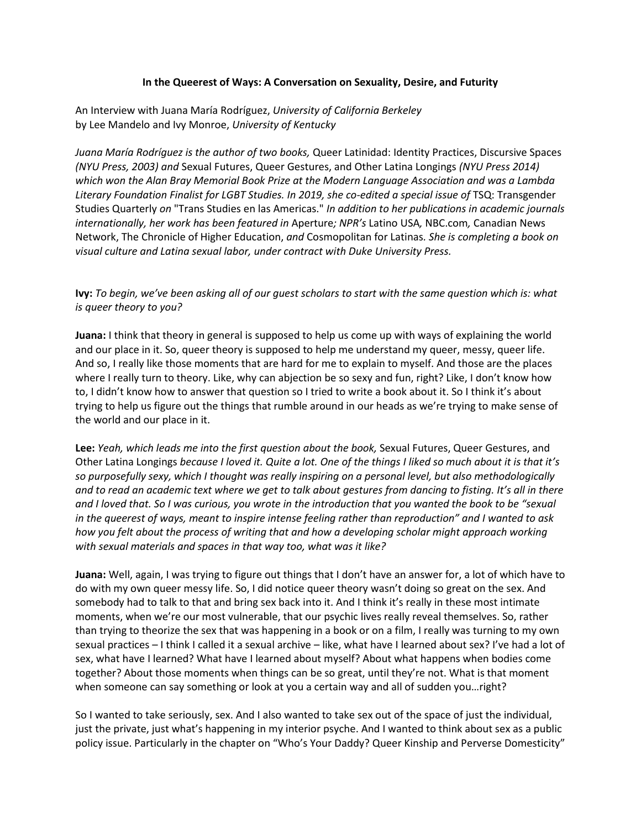#### **In the Queerest of Ways: A Conversation on Sexuality, Desire, and Futurity**

An Interview with Juana María Rodríguez, *University of California Berkeley* by Lee Mandelo and Ivy Monroe, *University of Kentucky*

*Juana María Rodríguez is the author of two books,* Queer Latinidad: Identity Practices, Discursive Spaces *(NYU Press, 2003) and* Sexual Futures, Queer Gestures, and Other Latina Longings *(NYU Press 2014) which won the Alan Bray Memorial Book Prize at the Modern Language Association and was a Lambda*  Literary Foundation Finalist for LGBT Studies. In 2019, she co-edited a special issue of TSQ: Transgender Studies Quarterly *on* "Trans Studies en las Americas." *In addition to her publications in academic journals internationally, her work has been featured in* Aperture*; NPR's* Latino USA*,* NBC.com*,* Canadian News Network, The Chronicle of Higher Education, *and* Cosmopolitan for Latinas*. She is completing a book on visual culture and Latina sexual labor, under contract with Duke University Press.*

**Ivy:** *To begin, we've been asking all of our guest scholars to start with the same question which is: what is queer theory to you?*

**Juana:** I think that theory in general is supposed to help us come up with ways of explaining the world and our place in it. So, queer theory is supposed to help me understand my queer, messy, queer life. And so, I really like those moments that are hard for me to explain to myself. And those are the places where I really turn to theory. Like, why can abjection be so sexy and fun, right? Like, I don't know how to, I didn't know how to answer that question so I tried to write a book about it. So I think it's about trying to help us figure out the things that rumble around in our heads as we're trying to make sense of the world and our place in it.

**Lee:** *Yeah, which leads me into the first question about the book,* Sexual Futures, Queer Gestures, and Other Latina Longings *because I loved it. Quite a lot. One of the things I liked so much about it is that it's so purposefully sexy, which I thought was really inspiring on a personal level, but also methodologically and to read an academic text where we get to talk about gestures from dancing to fisting. It's all in there and I loved that. So I was curious, you wrote in the introduction that you wanted the book to be "sexual in the queerest of ways, meant to inspire intense feeling rather than reproduction" and I wanted to ask how you felt about the process of writing that and how a developing scholar might approach working with sexual materials and spaces in that way too, what was it like?*

**Juana:** Well, again, I was trying to figure out things that I don't have an answer for, a lot of which have to do with my own queer messy life. So, I did notice queer theory wasn't doing so great on the sex. And somebody had to talk to that and bring sex back into it. And I think it's really in these most intimate moments, when we're our most vulnerable, that our psychic lives really reveal themselves. So, rather than trying to theorize the sex that was happening in a book or on a film, I really was turning to my own sexual practices – I think I called it a sexual archive – like, what have I learned about sex? I've had a lot of sex, what have I learned? What have I learned about myself? About what happens when bodies come together? About those moments when things can be so great, until they're not. What is that moment when someone can say something or look at you a certain way and all of sudden you...right?

So I wanted to take seriously, sex. And I also wanted to take sex out of the space of just the individual, just the private, just what's happening in my interior psyche. And I wanted to think about sex as a public policy issue. Particularly in the chapter on "Who's Your Daddy? Queer Kinship and Perverse Domesticity"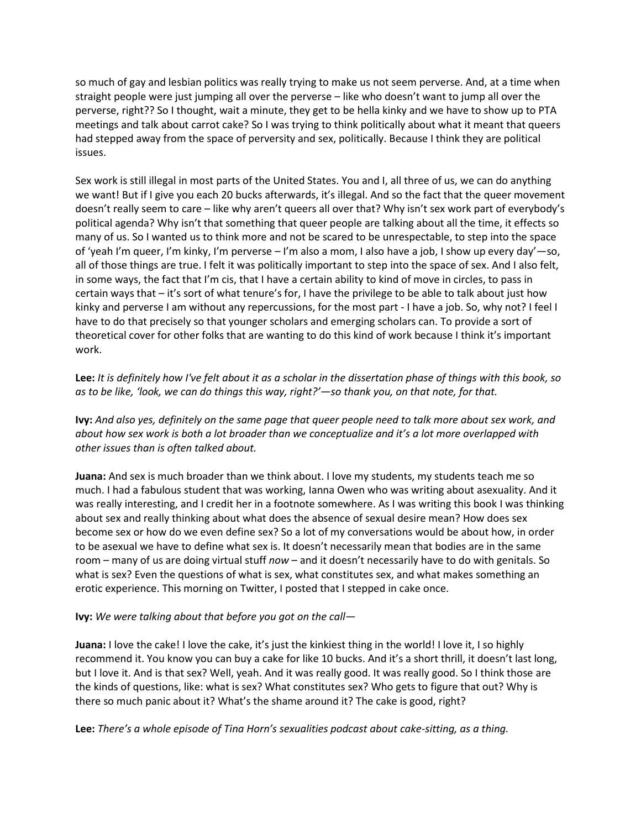so much of gay and lesbian politics was really trying to make us not seem perverse. And, at a time when straight people were just jumping all over the perverse – like who doesn't want to jump all over the perverse, right?? So I thought, wait a minute, they get to be hella kinky and we have to show up to PTA meetings and talk about carrot cake? So I was trying to think politically about what it meant that queers had stepped away from the space of perversity and sex, politically. Because I think they are political issues.

Sex work is still illegal in most parts of the United States. You and I, all three of us, we can do anything we want! But if I give you each 20 bucks afterwards, it's illegal. And so the fact that the queer movement doesn't really seem to care – like why aren't queers all over that? Why isn't sex work part of everybody's political agenda? Why isn't that something that queer people are talking about all the time, it effects so many of us. So I wanted us to think more and not be scared to be unrespectable, to step into the space of 'yeah I'm queer, I'm kinky, I'm perverse – I'm also a mom, I also have a job, I show up every day'—so, all of those things are true. I felt it was politically important to step into the space of sex. And I also felt, in some ways, the fact that I'm cis, that I have a certain ability to kind of move in circles, to pass in certain ways that – it's sort of what tenure's for, I have the privilege to be able to talk about just how kinky and perverse I am without any repercussions, for the most part - I have a job. So, why not? I feel I have to do that precisely so that younger scholars and emerging scholars can. To provide a sort of theoretical cover for other folks that are wanting to do this kind of work because I think it's important work.

**Lee:** *It is definitely how I've felt about it as a scholar in the dissertation phase of things with this book, so as to be like, 'look, we can do things this way, right?'—so thank you, on that note, for that.*

**Ivy:** *And also yes, definitely on the same page that queer people need to talk more about sex work, and about how sex work is both a lot broader than we conceptualize and it's a lot more overlapped with other issues than is often talked about.*

**Juana:** And sex is much broader than we think about. I love my students, my students teach me so much. I had a fabulous student that was working, Ianna Owen who was writing about asexuality. And it was really interesting, and I credit her in a footnote somewhere. As I was writing this book I was thinking about sex and really thinking about what does the absence of sexual desire mean? How does sex become sex or how do we even define sex? So a lot of my conversations would be about how, in order to be asexual we have to define what sex is. It doesn't necessarily mean that bodies are in the same room – many of us are doing virtual stuff *now* – and it doesn't necessarily have to do with genitals. So what is sex? Even the questions of what is sex, what constitutes sex, and what makes something an erotic experience. This morning on Twitter, I posted that I stepped in cake once.

#### **Ivy:** *We were talking about that before you got on the call—*

**Juana:** I love the cake! I love the cake, it's just the kinkiest thing in the world! I love it, I so highly recommend it. You know you can buy a cake for like 10 bucks. And it's a short thrill, it doesn't last long, but I love it. And is that sex? Well, yeah. And it was really good. It was really good. So I think those are the kinds of questions, like: what is sex? What constitutes sex? Who gets to figure that out? Why is there so much panic about it? What's the shame around it? The cake is good, right?

**Lee:** *There's a whole episode of Tina Horn's sexualities podcast about cake-sitting, as a thing.*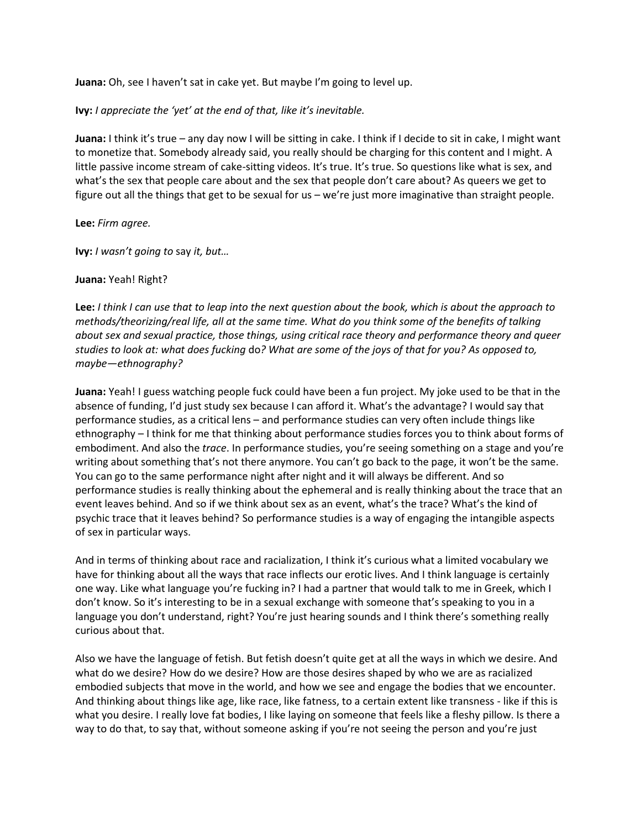**Juana:** Oh, see I haven't sat in cake yet. But maybe I'm going to level up.

#### **Ivy:** *I appreciate the 'yet' at the end of that, like it's inevitable.*

**Juana:** I think it's true – any day now I will be sitting in cake. I think if I decide to sit in cake, I might want to monetize that. Somebody already said, you really should be charging for this content and I might. A little passive income stream of cake-sitting videos. It's true. It's true. So questions like what is sex, and what's the sex that people care about and the sex that people don't care about? As queers we get to figure out all the things that get to be sexual for us – we're just more imaginative than straight people.

**Lee:** *Firm agree.*

**Ivy:** *I wasn't going to* say *it, but…*

#### **Juana:** Yeah! Right?

**Lee:** *I think I can use that to leap into the next question about the book, which is about the approach to methods/theorizing/real life, all at the same time. What do you think some of the benefits of talking about sex and sexual practice, those things, using critical race theory and performance theory and queer studies to look at: what does fucking* do*? What are some of the joys of that for you? As opposed to, maybe—ethnography?*

**Juana:** Yeah! I guess watching people fuck could have been a fun project. My joke used to be that in the absence of funding, I'd just study sex because I can afford it. What's the advantage? I would say that performance studies, as a critical lens – and performance studies can very often include things like ethnography – I think for me that thinking about performance studies forces you to think about forms of embodiment. And also the *trace*. In performance studies, you're seeing something on a stage and you're writing about something that's not there anymore. You can't go back to the page, it won't be the same. You can go to the same performance night after night and it will always be different. And so performance studies is really thinking about the ephemeral and is really thinking about the trace that an event leaves behind. And so if we think about sex as an event, what's the trace? What's the kind of psychic trace that it leaves behind? So performance studies is a way of engaging the intangible aspects of sex in particular ways.

And in terms of thinking about race and racialization, I think it's curious what a limited vocabulary we have for thinking about all the ways that race inflects our erotic lives. And I think language is certainly one way. Like what language you're fucking in? I had a partner that would talk to me in Greek, which I don't know. So it's interesting to be in a sexual exchange with someone that's speaking to you in a language you don't understand, right? You're just hearing sounds and I think there's something really curious about that.

Also we have the language of fetish. But fetish doesn't quite get at all the ways in which we desire. And what do we desire? How do we desire? How are those desires shaped by who we are as racialized embodied subjects that move in the world, and how we see and engage the bodies that we encounter. And thinking about things like age, like race, like fatness, to a certain extent like transness - like if this is what you desire. I really love fat bodies, I like laying on someone that feels like a fleshy pillow. Is there a way to do that, to say that, without someone asking if you're not seeing the person and you're just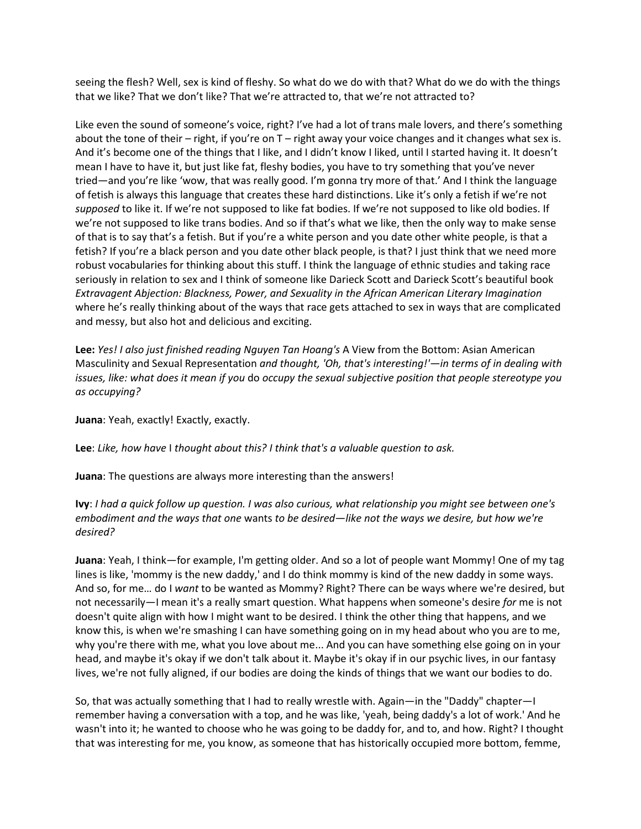seeing the flesh? Well, sex is kind of fleshy. So what do we do with that? What do we do with the things that we like? That we don't like? That we're attracted to, that we're not attracted to?

Like even the sound of someone's voice, right? I've had a lot of trans male lovers, and there's something about the tone of their – right, if you're on  $T$  – right away your voice changes and it changes what sex is. And it's become one of the things that I like, and I didn't know I liked, until I started having it. It doesn't mean I have to have it, but just like fat, fleshy bodies, you have to try something that you've never tried—and you're like 'wow, that was really good. I'm gonna try more of that.' And I think the language of fetish is always this language that creates these hard distinctions. Like it's only a fetish if we're not *supposed* to like it. If we're not supposed to like fat bodies. If we're not supposed to like old bodies. If we're not supposed to like trans bodies. And so if that's what we like, then the only way to make sense of that is to say that's a fetish. But if you're a white person and you date other white people, is that a fetish? If you're a black person and you date other black people, is that? I just think that we need more robust vocabularies for thinking about this stuff. I think the language of ethnic studies and taking race seriously in relation to sex and I think of someone like Darieck Scott and Darieck Scott's beautiful book *Extravagent Abjection: Blackness, Power, and Sexuality in the African American Literary Imagination* where he's really thinking about of the ways that race gets attached to sex in ways that are complicated and messy, but also hot and delicious and exciting.

**Lee:** *Yes! I also just finished reading Nguyen Tan Hoang's* A View from the Bottom: Asian American Masculinity and Sexual Representation *and thought, 'Oh, that's interesting!'—in terms of in dealing with issues, like: what does it mean if you* do *occupy the sexual subjective position that people stereotype you as occupying?*

**Juana**: Yeah, exactly! Exactly, exactly.

**Lee**: *Like, how have* I *thought about this? I think that's a valuable question to ask.*

**Juana**: The questions are always more interesting than the answers!

**Ivy**: *I had a quick follow up question. I was also curious, what relationship you might see between one's embodiment and the ways that one* wants *to be desired—like not the ways we desire, but how we're desired?*

**Juana**: Yeah, I think—for example, I'm getting older. And so a lot of people want Mommy! One of my tag lines is like, 'mommy is the new daddy,' and I do think mommy is kind of the new daddy in some ways. And so, for me… do I *want* to be wanted as Mommy? Right? There can be ways where we're desired, but not necessarily—I mean it's a really smart question. What happens when someone's desire *for* me is not doesn't quite align with how I might want to be desired. I think the other thing that happens, and we know this, is when we're smashing I can have something going on in my head about who you are to me, why you're there with me, what you love about me... And you can have something else going on in your head, and maybe it's okay if we don't talk about it. Maybe it's okay if in our psychic lives, in our fantasy lives, we're not fully aligned, if our bodies are doing the kinds of things that we want our bodies to do.

So, that was actually something that I had to really wrestle with. Again—in the "Daddy" chapter—I remember having a conversation with a top, and he was like, 'yeah, being daddy's a lot of work.' And he wasn't into it; he wanted to choose who he was going to be daddy for, and to, and how. Right? I thought that was interesting for me, you know, as someone that has historically occupied more bottom, femme,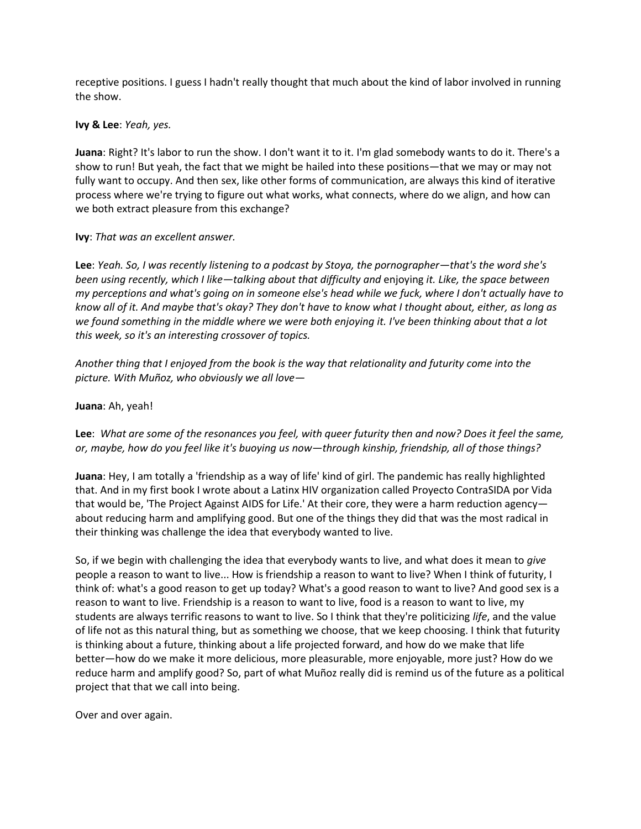receptive positions. I guess I hadn't really thought that much about the kind of labor involved in running the show.

**Ivy & Lee**: *Yeah, yes.*

**Juana**: Right? It's labor to run the show. I don't want it to it. I'm glad somebody wants to do it. There's a show to run! But yeah, the fact that we might be hailed into these positions—that we may or may not fully want to occupy. And then sex, like other forms of communication, are always this kind of iterative process where we're trying to figure out what works, what connects, where do we align, and how can we both extract pleasure from this exchange?

#### **Ivy**: *That was an excellent answer.*

**Lee**: *Yeah. So, I was recently listening to a podcast by Stoya, the pornographer—that's the word she's been using recently, which I like—talking about that difficulty and* enjoying *it. Like, the space between my perceptions and what's going on in someone else's head while we fuck, where I don't actually have to know all of it. And maybe that's okay? They don't have to know what I thought about, either, as long as we found something in the middle where we were both enjoying it. I've been thinking about that a lot this week, so it's an interesting crossover of topics.*

*Another thing that I enjoyed from the book is the way that relationality and futurity come into the picture. With Muñoz, who obviously we all love—*

**Juana**: Ah, yeah!

**Lee**: *What are some of the resonances you feel, with queer futurity then and now? Does it feel the same, or, maybe, how do you feel like it's buoying us now—through kinship, friendship, all of those things?*

**Juana**: Hey, I am totally a 'friendship as a way of life' kind of girl. The pandemic has really highlighted that. And in my first book I wrote about a Latinx HIV organization called Proyecto ContraSIDA por Vida that would be, 'The Project Against AIDS for Life.' At their core, they were a harm reduction agency about reducing harm and amplifying good. But one of the things they did that was the most radical in their thinking was challenge the idea that everybody wanted to live.

So, if we begin with challenging the idea that everybody wants to live, and what does it mean to *give* people a reason to want to live... How is friendship a reason to want to live? When I think of futurity, I think of: what's a good reason to get up today? What's a good reason to want to live? And good sex is a reason to want to live. Friendship is a reason to want to live, food is a reason to want to live, my students are always terrific reasons to want to live. So I think that they're politicizing *life*, and the value of life not as this natural thing, but as something we choose, that we keep choosing. I think that futurity is thinking about a future, thinking about a life projected forward, and how do we make that life better—how do we make it more delicious, more pleasurable, more enjoyable, more just? How do we reduce harm and amplify good? So, part of what Muñoz really did is remind us of the future as a political project that that we call into being.

Over and over again.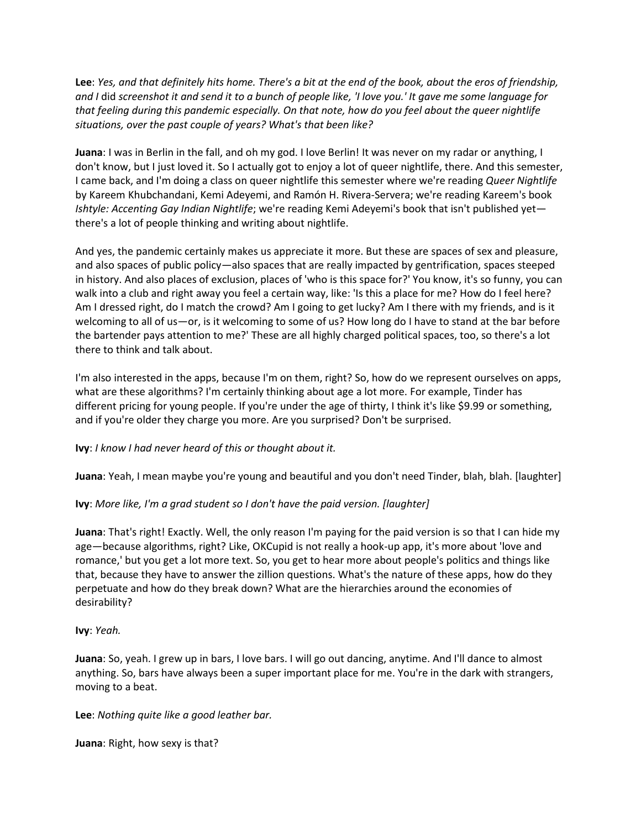**Lee**: *Yes, and that definitely hits home. There's a bit at the end of the book, about the eros of friendship, and I* did *screenshot it and send it to a bunch of people like, 'I love you.' It gave me some language for that feeling during this pandemic especially. On that note, how do you feel about the queer nightlife situations, over the past couple of years? What's that been like?*

**Juana**: I was in Berlin in the fall, and oh my god. I love Berlin! It was never on my radar or anything, I don't know, but I just loved it. So I actually got to enjoy a lot of queer nightlife, there. And this semester, I came back, and I'm doing a class on queer nightlife this semester where we're reading *Queer Nightlife* by Kareem Khubchandani, Kemi Adeyemi, and Ramón H. Rivera-Servera; we're reading Kareem's book *Ishtyle: Accenting Gay Indian Nightlife*; we're reading Kemi Adeyemi's book that isn't published yet there's a lot of people thinking and writing about nightlife.

And yes, the pandemic certainly makes us appreciate it more. But these are spaces of sex and pleasure, and also spaces of public policy—also spaces that are really impacted by gentrification, spaces steeped in history. And also places of exclusion, places of 'who is this space for?' You know, it's so funny, you can walk into a club and right away you feel a certain way, like: 'Is this a place for me? How do I feel here? Am I dressed right, do I match the crowd? Am I going to get lucky? Am I there with my friends, and is it welcoming to all of us—or, is it welcoming to some of us? How long do I have to stand at the bar before the bartender pays attention to me?' These are all highly charged political spaces, too, so there's a lot there to think and talk about.

I'm also interested in the apps, because I'm on them, right? So, how do we represent ourselves on apps, what are these algorithms? I'm certainly thinking about age a lot more. For example, Tinder has different pricing for young people. If you're under the age of thirty, I think it's like \$9.99 or something, and if you're older they charge you more. Are you surprised? Don't be surprised.

**Ivy**: *I know I had never heard of this or thought about it.*

**Juana**: Yeah, I mean maybe you're young and beautiful and you don't need Tinder, blah, blah. [laughter]

## **Ivy**: *More like, I'm a grad student so I don't have the paid version. [laughter]*

**Juana**: That's right! Exactly. Well, the only reason I'm paying for the paid version is so that I can hide my age—because algorithms, right? Like, OKCupid is not really a hook-up app, it's more about 'love and romance,' but you get a lot more text. So, you get to hear more about people's politics and things like that, because they have to answer the zillion questions. What's the nature of these apps, how do they perpetuate and how do they break down? What are the hierarchies around the economies of desirability?

**Ivy**: *Yeah.*

**Juana**: So, yeah. I grew up in bars, I love bars. I will go out dancing, anytime. And I'll dance to almost anything. So, bars have always been a super important place for me. You're in the dark with strangers, moving to a beat.

**Lee**: *Nothing quite like a good leather bar.*

**Juana**: Right, how sexy is that?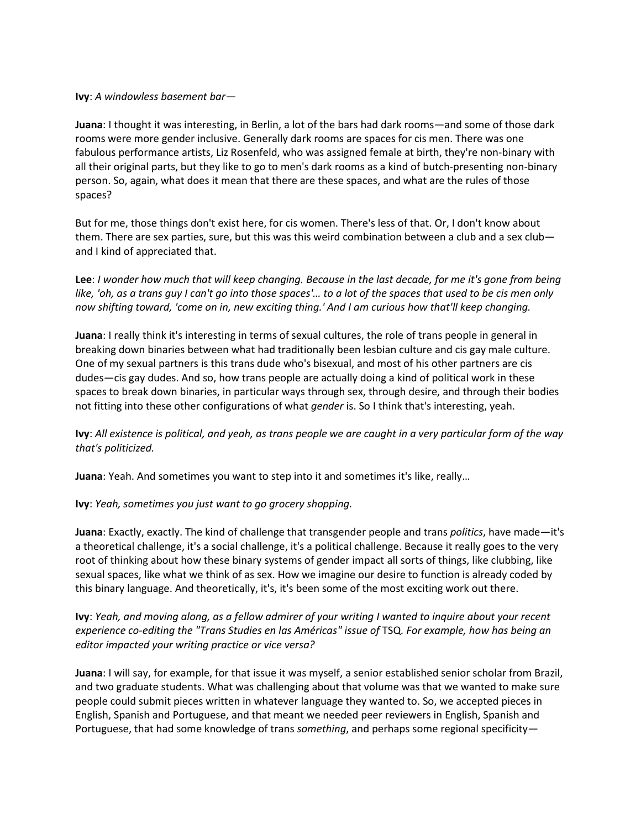#### **Ivy**: *A windowless basement bar—*

**Juana**: I thought it was interesting, in Berlin, a lot of the bars had dark rooms—and some of those dark rooms were more gender inclusive. Generally dark rooms are spaces for cis men. There was one fabulous performance artists, Liz Rosenfeld, who was assigned female at birth, they're non-binary with all their original parts, but they like to go to men's dark rooms as a kind of butch-presenting non-binary person. So, again, what does it mean that there are these spaces, and what are the rules of those spaces?

But for me, those things don't exist here, for cis women. There's less of that. Or, I don't know about them. There are sex parties, sure, but this was this weird combination between a club and a sex club and I kind of appreciated that.

**Lee**: *I wonder how much that will keep changing. Because in the last decade, for me it's gone from being like, 'oh, as a trans guy I can't go into those spaces'… to a lot of the spaces that used to be cis men only now shifting toward, 'come on in, new exciting thing.' And I am curious how that'll keep changing.*

**Juana**: I really think it's interesting in terms of sexual cultures, the role of trans people in general in breaking down binaries between what had traditionally been lesbian culture and cis gay male culture. One of my sexual partners is this trans dude who's bisexual, and most of his other partners are cis dudes—cis gay dudes. And so, how trans people are actually doing a kind of political work in these spaces to break down binaries, in particular ways through sex, through desire, and through their bodies not fitting into these other configurations of what *gender* is. So I think that's interesting, yeah.

**Ivy**: *All existence is political, and yeah, as trans people we are caught in a very particular form of the way that's politicized.*

**Juana**: Yeah. And sometimes you want to step into it and sometimes it's like, really…

**Ivy**: *Yeah, sometimes you just want to go grocery shopping.*

**Juana**: Exactly, exactly. The kind of challenge that transgender people and trans *politics*, have made—it's a theoretical challenge, it's a social challenge, it's a political challenge. Because it really goes to the very root of thinking about how these binary systems of gender impact all sorts of things, like clubbing, like sexual spaces, like what we think of as sex. How we imagine our desire to function is already coded by this binary language. And theoretically, it's, it's been some of the most exciting work out there.

**Ivy**: *Yeah, and moving along, as a fellow admirer of your writing I wanted to inquire about your recent experience co-editing the "Trans Studies en las Américas" issue of* TSQ*. For example, how has being an editor impacted your writing practice or vice versa?*

**Juana**: I will say, for example, for that issue it was myself, a senior established senior scholar from Brazil, and two graduate students. What was challenging about that volume was that we wanted to make sure people could submit pieces written in whatever language they wanted to. So, we accepted pieces in English, Spanish and Portuguese, and that meant we needed peer reviewers in English, Spanish and Portuguese, that had some knowledge of trans *something*, and perhaps some regional specificity—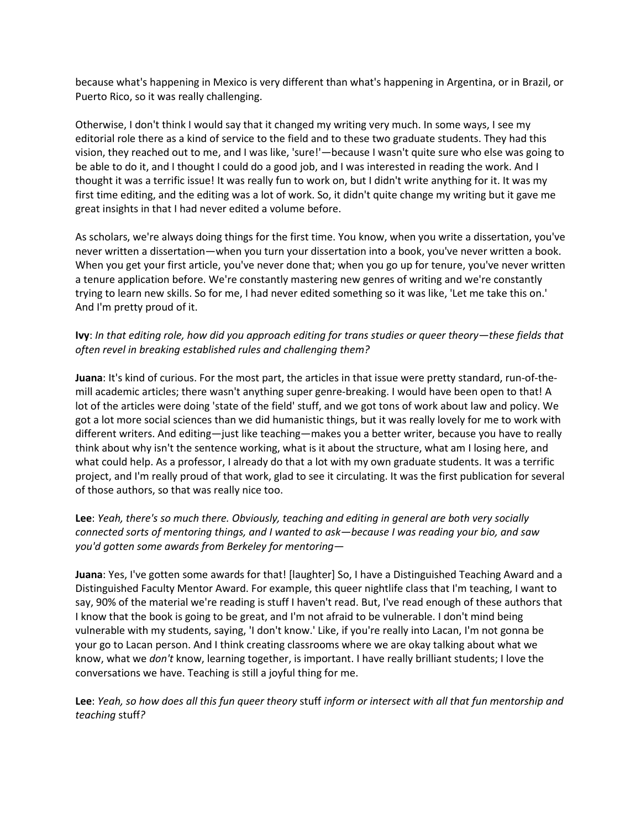because what's happening in Mexico is very different than what's happening in Argentina, or in Brazil, or Puerto Rico, so it was really challenging.

Otherwise, I don't think I would say that it changed my writing very much. In some ways, I see my editorial role there as a kind of service to the field and to these two graduate students. They had this vision, they reached out to me, and I was like, 'sure!'—because I wasn't quite sure who else was going to be able to do it, and I thought I could do a good job, and I was interested in reading the work. And I thought it was a terrific issue! It was really fun to work on, but I didn't write anything for it. It was my first time editing, and the editing was a lot of work. So, it didn't quite change my writing but it gave me great insights in that I had never edited a volume before.

As scholars, we're always doing things for the first time. You know, when you write a dissertation, you've never written a dissertation—when you turn your dissertation into a book, you've never written a book. When you get your first article, you've never done that; when you go up for tenure, you've never written a tenure application before. We're constantly mastering new genres of writing and we're constantly trying to learn new skills. So for me, I had never edited something so it was like, 'Let me take this on.' And I'm pretty proud of it.

### **Ivy**: *In that editing role, how did you approach editing for trans studies or queer theory—these fields that often revel in breaking established rules and challenging them?*

**Juana**: It's kind of curious. For the most part, the articles in that issue were pretty standard, run-of-themill academic articles; there wasn't anything super genre-breaking. I would have been open to that! A lot of the articles were doing 'state of the field' stuff, and we got tons of work about law and policy. We got a lot more social sciences than we did humanistic things, but it was really lovely for me to work with different writers. And editing—just like teaching—makes you a better writer, because you have to really think about why isn't the sentence working, what is it about the structure, what am I losing here, and what could help. As a professor, I already do that a lot with my own graduate students. It was a terrific project, and I'm really proud of that work, glad to see it circulating. It was the first publication for several of those authors, so that was really nice too.

## **Lee**: *Yeah, there's so much there. Obviously, teaching and editing in general are both very socially connected sorts of mentoring things, and I wanted to ask—because I was reading your bio, and saw you'd gotten some awards from Berkeley for mentoring—*

**Juana**: Yes, I've gotten some awards for that! [laughter] So, I have a Distinguished Teaching Award and a Distinguished Faculty Mentor Award. For example, this queer nightlife class that I'm teaching, I want to say, 90% of the material we're reading is stuff I haven't read. But, I've read enough of these authors that I know that the book is going to be great, and I'm not afraid to be vulnerable. I don't mind being vulnerable with my students, saying, 'I don't know.' Like, if you're really into Lacan, I'm not gonna be your go to Lacan person. And I think creating classrooms where we are okay talking about what we know, what we *don't* know, learning together, is important. I have really brilliant students; I love the conversations we have. Teaching is still a joyful thing for me.

**Lee**: *Yeah, so how does all this fun queer theory* stuff *inform or intersect with all that fun mentorship and teaching* stuff*?*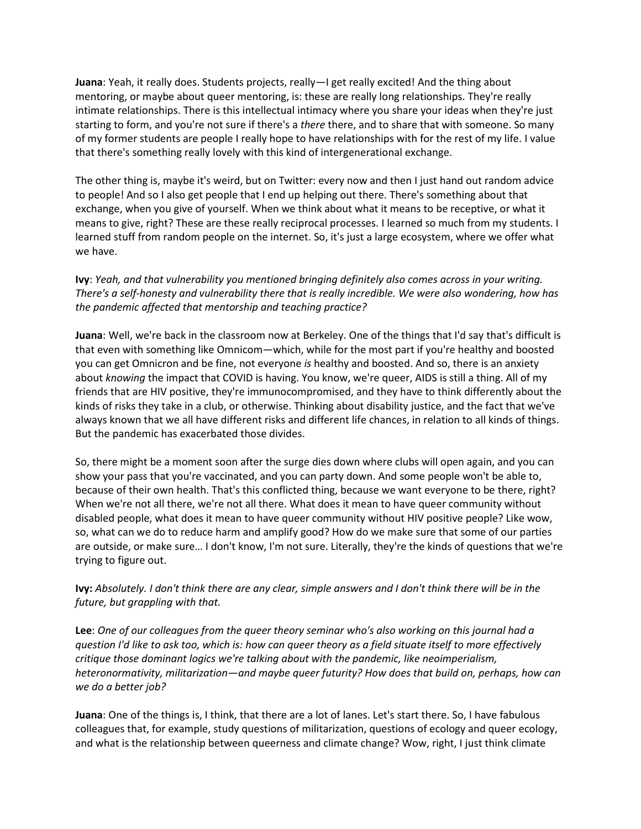**Juana**: Yeah, it really does. Students projects, really—I get really excited! And the thing about mentoring, or maybe about queer mentoring, is: these are really long relationships. They're really intimate relationships. There is this intellectual intimacy where you share your ideas when they're just starting to form, and you're not sure if there's a *there* there, and to share that with someone. So many of my former students are people I really hope to have relationships with for the rest of my life. I value that there's something really lovely with this kind of intergenerational exchange.

The other thing is, maybe it's weird, but on Twitter: every now and then I just hand out random advice to people! And so I also get people that I end up helping out there. There's something about that exchange, when you give of yourself. When we think about what it means to be receptive, or what it means to give, right? These are these really reciprocal processes. I learned so much from my students. I learned stuff from random people on the internet. So, it's just a large ecosystem, where we offer what we have.

**Ivy**: *Yeah, and that vulnerability you mentioned bringing definitely also comes across in your writing. There's a self-honesty and vulnerability there that is really incredible. We were also wondering, how has the pandemic affected that mentorship and teaching practice?*

**Juana**: Well, we're back in the classroom now at Berkeley. One of the things that I'd say that's difficult is that even with something like Omnicom—which, while for the most part if you're healthy and boosted you can get Omnicron and be fine, not everyone *is* healthy and boosted. And so, there is an anxiety about *knowing* the impact that COVID is having. You know, we're queer, AIDS is still a thing. All of my friends that are HIV positive, they're immunocompromised, and they have to think differently about the kinds of risks they take in a club, or otherwise. Thinking about disability justice, and the fact that we've always known that we all have different risks and different life chances, in relation to all kinds of things. But the pandemic has exacerbated those divides.

So, there might be a moment soon after the surge dies down where clubs will open again, and you can show your pass that you're vaccinated, and you can party down. And some people won't be able to, because of their own health. That's this conflicted thing, because we want everyone to be there, right? When we're not all there, we're not all there. What does it mean to have queer community without disabled people, what does it mean to have queer community without HIV positive people? Like wow, so, what can we do to reduce harm and amplify good? How do we make sure that some of our parties are outside, or make sure… I don't know, I'm not sure. Literally, they're the kinds of questions that we're trying to figure out.

**Ivy:** *Absolutely. I don't think there are any clear, simple answers and I don't think there will be in the future, but grappling with that.*

**Lee**: *One of our colleagues from the queer theory seminar who's also working on this journal had a question I'd like to ask too, which is: how can queer theory as a field situate itself to more effectively critique those dominant logics we're talking about with the pandemic, like neoimperialism, heteronormativity, militarization—and maybe queer futurity? How does that build on, perhaps, how can we do a better job?*

**Juana**: One of the things is, I think, that there are a lot of lanes. Let's start there. So, I have fabulous colleagues that, for example, study questions of militarization, questions of ecology and queer ecology, and what is the relationship between queerness and climate change? Wow, right, I just think climate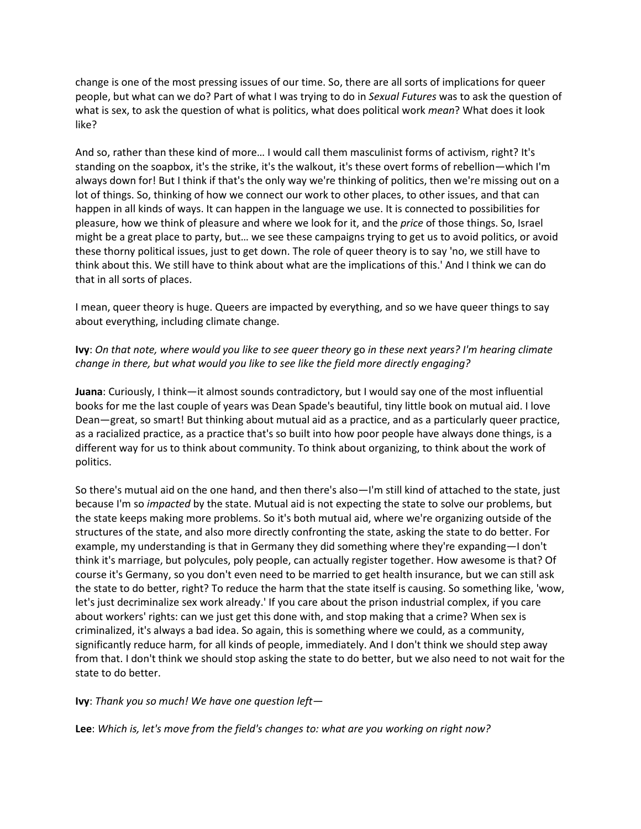change is one of the most pressing issues of our time. So, there are all sorts of implications for queer people, but what can we do? Part of what I was trying to do in *Sexual Futures* was to ask the question of what is sex, to ask the question of what is politics, what does political work *mean*? What does it look like?

And so, rather than these kind of more… I would call them masculinist forms of activism, right? It's standing on the soapbox, it's the strike, it's the walkout, it's these overt forms of rebellion—which I'm always down for! But I think if that's the only way we're thinking of politics, then we're missing out on a lot of things. So, thinking of how we connect our work to other places, to other issues, and that can happen in all kinds of ways. It can happen in the language we use. It is connected to possibilities for pleasure, how we think of pleasure and where we look for it, and the *price* of those things. So, Israel might be a great place to party, but… we see these campaigns trying to get us to avoid politics, or avoid these thorny political issues, just to get down. The role of queer theory is to say 'no, we still have to think about this. We still have to think about what are the implications of this.' And I think we can do that in all sorts of places.

I mean, queer theory is huge. Queers are impacted by everything, and so we have queer things to say about everything, including climate change.

## **Ivy**: *On that note, where would you like to see queer theory* go *in these next years? I'm hearing climate change in there, but what would you like to see like the field more directly engaging?*

**Juana**: Curiously, I think—it almost sounds contradictory, but I would say one of the most influential books for me the last couple of years was Dean Spade's beautiful, tiny little book on mutual aid. I love Dean—great, so smart! But thinking about mutual aid as a practice, and as a particularly queer practice, as a racialized practice, as a practice that's so built into how poor people have always done things, is a different way for us to think about community. To think about organizing, to think about the work of politics.

So there's mutual aid on the one hand, and then there's also—I'm still kind of attached to the state, just because I'm so *impacted* by the state. Mutual aid is not expecting the state to solve our problems, but the state keeps making more problems. So it's both mutual aid, where we're organizing outside of the structures of the state, and also more directly confronting the state, asking the state to do better. For example, my understanding is that in Germany they did something where they're expanding—I don't think it's marriage, but polycules, poly people, can actually register together. How awesome is that? Of course it's Germany, so you don't even need to be married to get health insurance, but we can still ask the state to do better, right? To reduce the harm that the state itself is causing. So something like, 'wow, let's just decriminalize sex work already.' If you care about the prison industrial complex, if you care about workers' rights: can we just get this done with, and stop making that a crime? When sex is criminalized, it's always a bad idea. So again, this is something where we could, as a community, significantly reduce harm, for all kinds of people, immediately. And I don't think we should step away from that. I don't think we should stop asking the state to do better, but we also need to not wait for the state to do better.

**Ivy**: *Thank you so much! We have one question left—*

**Lee**: *Which is, let's move from the field's changes to: what are you working on right now?*